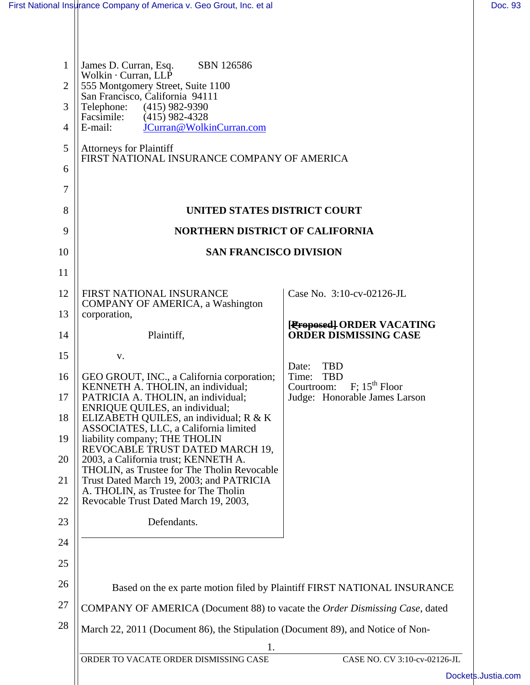| 1              | James D. Curran, Esq.<br>SBN 126586<br>Wolkin · Curran, LLP                                               |                                                                             |
|----------------|-----------------------------------------------------------------------------------------------------------|-----------------------------------------------------------------------------|
| 2              | 555 Montgomery Street, Suite 1100<br>San Francisco, California 94111                                      |                                                                             |
| 3              | Telephone:<br>$(415)$ 982-9390<br>Facsimile:<br>$(415)$ 982-4328                                          |                                                                             |
| $\overline{4}$ | JCurran@WolkinCurran.com<br>E-mail:                                                                       |                                                                             |
| 5<br>6         | <b>Attorneys for Plaintiff</b><br>FIRST NATIONAL INSURANCE COMPANY OF AMERICA                             |                                                                             |
| 7              |                                                                                                           |                                                                             |
| 8              | UNITED STATES DISTRICT COURT                                                                              |                                                                             |
| 9              | <b>NORTHERN DISTRICT OF CALIFORNIA</b>                                                                    |                                                                             |
| 10             | <b>SAN FRANCISCO DIVISION</b>                                                                             |                                                                             |
| 11             |                                                                                                           |                                                                             |
| 12             | FIRST NATIONAL INSURANCE                                                                                  | Case No. 3:10-cv-02126-JL                                                   |
| 13             | <b>COMPANY OF AMERICA, a Washington</b><br>corporation,                                                   |                                                                             |
| 14             | Plaintiff,                                                                                                | [Froposed] ORDER VACATING<br><b>ORDER DISMISSING CASE</b>                   |
| 15             | V.                                                                                                        |                                                                             |
| 16             | GEO GROUT, INC., a California corporation;                                                                | <b>TBD</b><br>Date:<br>Time:<br><b>TBD</b>                                  |
| 17             | KENNETH A. THOLIN, an individual;<br>PATRICIA A. THOLIN, an individual;<br>ENRIQUE QUILES, an individual; | $F$ ; 15 <sup>th</sup> Floor<br>Courtroom:<br>Judge: Honorable James Larson |
| 18             | ELIZABETH QUILES, an individual; R & K<br>ASSOCIATES, LLC, a California limited                           |                                                                             |
| 19             | liability company; THE THOLIN<br>REVOCABLE TRUST DATED MARCH 19,                                          |                                                                             |
| 20             | 2003, a California trust; KENNETH A.<br>THOLIN, as Trustee for The Tholin Revocable                       |                                                                             |
| 21             | Trust Dated March 19, 2003; and PATRICIA<br>A. THOLIN, as Trustee for The Tholin                          |                                                                             |
| 22             | Revocable Trust Dated March 19, 2003,                                                                     |                                                                             |
| 23             | Defendants.                                                                                               |                                                                             |
| 24             |                                                                                                           |                                                                             |
| 25             |                                                                                                           |                                                                             |
| 26             | Based on the ex parte motion filed by Plaintiff FIRST NATIONAL INSURANCE                                  |                                                                             |
| 27             | COMPANY OF AMERICA (Document 88) to vacate the Order Dismissing Case, dated                               |                                                                             |
| 28             | March 22, 2011 (Document 86), the Stipulation (Document 89), and Notice of Non-                           |                                                                             |
|                | 1.                                                                                                        |                                                                             |
|                | ORDER TO VACATE ORDER DISMISSING CASE                                                                     | CASE NO. CV 3:10-cv-02126-JL<br>Dock                                        |
|                |                                                                                                           |                                                                             |